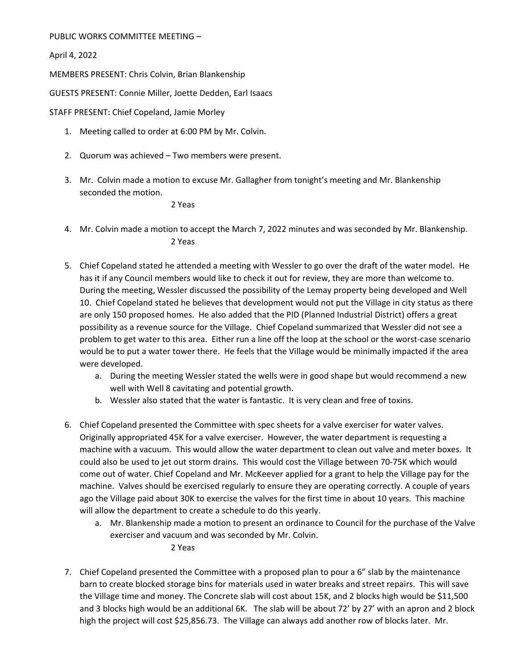PUBLIC WORKS COMMITTEE MEETING –

April 4, 2022

MEMBERS PRESENT: Chris Colvin, Brian Blankenship

GUESTS PRESENT: Connie Miller, Joette Dedden, Earl Isaacs

STAFF PRESENT: Chief Copeland, Jamie Morley

- 1. Meeting called to order at 6:00 PM by Mr. Colvin.
- 2. Quorum was achieved Two members were present.
- 3. Mr. Colvin made a motion to excuse Mr. Gallagher from tonight's meeting and Mr. Blankenship seconded the motion.

2 Yeas

- 4. Mr. Colvin made a motion to accept the March 7, 2022 minutes and was seconded by Mr. Blankenship. 2 Yeas
- 5. Chief Copeland stated he attended a meeting with Wessler to go over the draft of the water model. He has it if any Council members would like to check it out for review, they are more than welcome to. During the meeting, Wessler discussed the possibility of the Lemay property being developed and Well 10. Chief Copeland stated he believes that development would not put the Village in city status as there are only 150 proposed homes. He also added that the PID (Planned Industrial District) offers a great possibility as a revenue source for the Village. Chief Copeland summarized that Wessler did not see a problem to get water to this area. Either run a line off the loop at the school or the worst‐case scenario would be to put a water tower there. He feels that the Village would be minimally impacted if the area were developed.
	- a. During the meeting Wessler stated the wells were in good shape but would recommend a new well with Well 8 cavitating and potential growth.
	- b. Wessler also stated that the water is fantastic. It is very clean and free of toxins.
- 6. Chief Copeland presented the Committee with spec sheets for a valve exerciser for water valves. Originally appropriated 45K for a valve exerciser. However, the water department is requesting a machine with a vacuum. This would allow the water department to clean out valve and meter boxes. It could also be used to jet out storm drains. This would cost the Village between 70‐75K which would come out of water. Chief Copeland and Mr. McKeever applied for a grant to help the Village pay for the machine. Valves should be exercised regularly to ensure they are operating correctly. A couple of years ago the Village paid about 30K to exercise the valves for the first time in about 10 years. This machine will allow the department to create a schedule to do this yearly.
	- a. Mr. Blankenship made a motion to present an ordinance to Council for the purchase of the Valve exerciser and vacuum and was seconded by Mr. Colvin.

2 Yeas

7. Chief Copeland presented the Committee with a proposed plan to pour a 6" slab by the maintenance barn to create blocked storage bins for materials used in water breaks and street repairs. This will save the Village time and money. The Concrete slab will cost about 15K, and 2 blocks high would be \$11,500 and 3 blocks high would be an additional 6K. The slab will be about 72' by 27' with an apron and 2 block high the project will cost \$25,856.73. The Village can always add another row of blocks later. Mr.